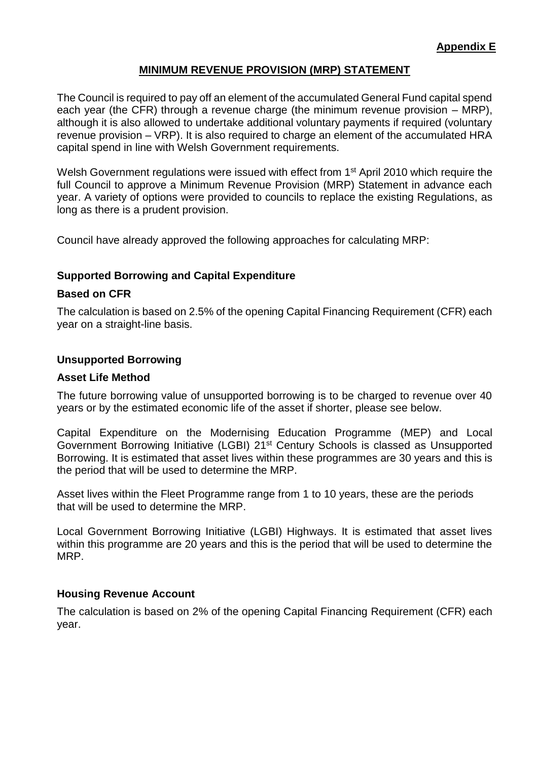# **MINIMUM REVENUE PROVISION (MRP) STATEMENT**

The Council is required to pay off an element of the accumulated General Fund capital spend each year (the CFR) through a revenue charge (the minimum revenue provision – MRP), although it is also allowed to undertake additional voluntary payments if required (voluntary revenue provision – VRP). It is also required to charge an element of the accumulated HRA capital spend in line with Welsh Government requirements.

Welsh Government regulations were issued with effect from 1<sup>st</sup> April 2010 which require the full Council to approve a Minimum Revenue Provision (MRP) Statement in advance each year. A variety of options were provided to councils to replace the existing Regulations, as long as there is a prudent provision.

Council have already approved the following approaches for calculating MRP:

# **Supported Borrowing and Capital Expenditure**

## **Based on CFR**

The calculation is based on 2.5% of the opening Capital Financing Requirement (CFR) each year on a straight-line basis.

## **Unsupported Borrowing**

#### **Asset Life Method**

The future borrowing value of unsupported borrowing is to be charged to revenue over 40 years or by the estimated economic life of the asset if shorter, please see below.

Capital Expenditure on the Modernising Education Programme (MEP) and Local Government Borrowing Initiative (LGBI) 21<sup>st</sup> Century Schools is classed as Unsupported Borrowing. It is estimated that asset lives within these programmes are 30 years and this is the period that will be used to determine the MRP.

Asset lives within the Fleet Programme range from 1 to 10 years, these are the periods that will be used to determine the MRP.

Local Government Borrowing Initiative (LGBI) Highways. It is estimated that asset lives within this programme are 20 years and this is the period that will be used to determine the MRP.

## **Housing Revenue Account**

The calculation is based on 2% of the opening Capital Financing Requirement (CFR) each year.